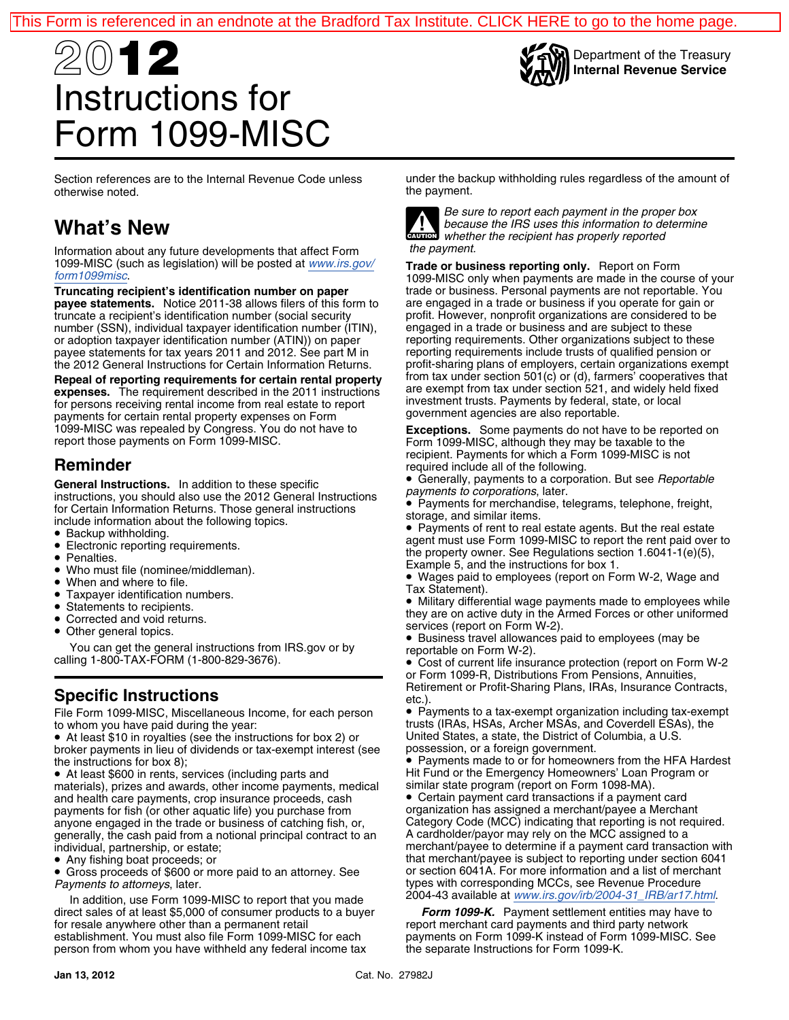

Department of the Treasury **Internal Revenue Service**

# 20**12** Instructions for Form 1099-MISC

otherwise noted.

 *the payment.* Information about any future developments that affect Form 1099-MISC (such as legislation) will be posted at *[www.irs.gov/](http://www.irs.gov/form1099misc)* **Trade or business reporting only.** Report on Form *[form1099misc](http://www.irs.gov/form1099misc)*. 1099-MISC only when payments are made in the course of your

**Truncating recipient's identification number on paper** trade or business. Personal payments are not reportable. You payee statements. Notice 2011-38 allows filers of this form to are engaged in a trade or business if you payee statements. Notice 2011-38 allows filers of this form to truncate a recipient's identification number (social security profit. However, nonprofit organizations are considered to be<br>number (SSN), individual taxpayer identification number (ITIN), engaged in a trade or business and number (SSN), individual taxpayer identification number (ITIN), engaged in a trade or business and are subject to these<br>or adoption taxpayer identification number (ATIN)) on paper reporting requirements. Other organization or adoption taxpayer identification number (ATIN)) on paper reporting requirements. Other organizations subject to these<br>payee statements for tax years 2011 and 2012. See part M in reporting requirements include trusts of payee statements for tax years 2011 and 2012. See part M in reporting requirements include trusts of qualified pension or<br>the 2012 General Instructions for Certain Information Returns. Profit-sharing plans of employers, ce

**Repeal of reporting requirements for certain rental property** from tax under section 501(c) or (d), farmers' cooperatives that<br>expenses. The requirement described in the 2011 instructions are exempt from tax under section **expenses.** The requirement described in the 2011 instructions are exempt from tax under section 521, and widely he<br>for persons receiving rental income from real estate to report<br>payments for certain rental property expens 1099-MISC was repealed by Congress. You do not have to **Exceptions.** Some payments do not have to be reported on report those payments on Form 1099-MISC. Form 1099-MISC, although they may be taxable to the

General Instructions. In addition to these specific<br>instructions, you should also use the 2012 General Instructions<br>for Certain Information Beturne These general instructions<br>for Certain Information Beturne These general i Fayments for Certain Information Returns. Those general instructions<br>
include information about the following topics.<br>
• Backup withholding.<br>
• Payments of rent to real

- 
- 
- 
- Who must file (nominee/middleman).<br>• When and where to file.
- 
- When and where to file. Tax Statement). Taxpayer identification numbers. •
- 
- 
- Other general topics. •

You can get the general instructions from IRS.gov or by reportable on Form W-2).<br>calling 1-800-TAX-FORM (1-800-829-3676). ● Cost of current life insu

• At least \$10 in royalties (see the instructions for box 2) or United States, a state, the District of Columbia, a U.S. broker payments in lieu of dividends or tax-exempt interest (see possession, or a foreign government. the instructions for box 8); **• Payments made to or for homeowners from the HFA Hardest** 

• At least \$600 in rents, services (including parts and materials), prizes and awards, other income payments, medical similar state program (report on Form 1098-MA).<br>and health care payments, crop insurance proceeds, cash **C**ertain payment card transactions if a payment card and health care payments, crop insurance proceeds, cash **•** Certain payment card transactions if a payment card payment card payment card payment card payment card payment card payment card payment card payment card paymen payments for fish (or other aquatic life) you purchase from organization has assigned a merchant/payee a Merchant<br>anyone engaged in the trade or business of catching fish, or, Category Code (MCC) indicating that reporting anyone engaged in the trade or business of catching fish, or, Category Code (MCC) indicating that reporting is not re<br>generally, the cash paid from a notional principal contract to an A cardholder/payor may rely on the MCC generally, the cash paid from a notional principal contract to an individual, partnership, or estate;

• Any fishing boat proceeds; or

In addition, use Form 1099-MISC to report that you made<br>ect sales of at least \$5,000 of consumer products to a buyer **Form 1099-K.** Payment settlement entities may have to direct sales of at least \$5,000 of consumer products to a buyer for resale anywhere other than a permanent retail establishment. You must also file Form 1099-MISC for each payments on Form 1099-K instead of Form 1099-MISC. See<br>person from whom you have withheld any federal income tax the separate Instructions for Form 1099-K. person from whom you have withheld any federal income tax

Section references are to the Internal Revenue Code unless under the backup withholding rules regardless of the amount of the payment.



*Be sure to report each payment in the proper box* **What's New** *because the IRS uses this information to determine whether the recipient has properly reported*

the 2012 General Instructions for Certain Information Returns. profit-sharing plans of employers, certain organizations exempt<br>Repeal of reporting requirements for certain rental property from tax under section 501(c) or (

**Reminder recipient. Payments for which a Form 1099-MISC is not Reminder** required include all of the following.

• Generally, payments to a corporation. But see Reportable

 Payments of rent to real estate agents. But the real estate •■ Backup withholding.<br>■ Electronic reporting requirements. <br>■ Electronic reporting requirements. ■ Electronic reporting requirements. the property owner. See Regulations section 1.6041-1(e)(5), • Penalties. • Fenalties.<br>• Who must file (nominee/middleman). Example 5, and the instructions for box 1.

• Wages paid to employees (report on Form W-2, Wage and Tax Statement).

• Taxpayer identification numbers.<br>• Statements to recipients.<br>• Statements to recipients. Statements to recipients.<br>Corrected and void returns.

services (report on Form W-2).<br>• Business travel allowances paid to employees (may be

 Cost of current life insurance protection (report on Form W-2 or Form 1099-R, Distributions From Pensions, Annuities, Retirement or Profit-Sharing Plans, IRAs, Insurance Contracts, **Specific Instructions** etc.).

File Form 1099-MISC, Miscellaneous Income, for each person • Payments to a tax-exempt organization including tax-exempt to whom you have paid during the year:<br>trusts (IRAs, HSAs, Archer MSAs, and Coverdell ESAs), the trusts (IRAs, HSAs, Archer MSAs, and Coverdell ESAs), the United States, a state, the District of Columbia, a U.S.

Hit Fund or the Emergency Homeowners' Loan Program or similar state program (report on Form 1098-MA).

merchant/payee to determine if a payment card transaction with that merchant/payee is subject to reporting under section 6041<br>or section 6041A. For more information and a list of merchant • Gross proceeds of \$600 or more paid to an attorney. See or section 6041A. For more information and a list of merchant *Payments to attorneys*, later.<br>In addition, use Form 1000 MISC to report that you made a available at www.irs.gov/irb/2004-31\_IRB/ar17.html.

report merchant card payments and third party network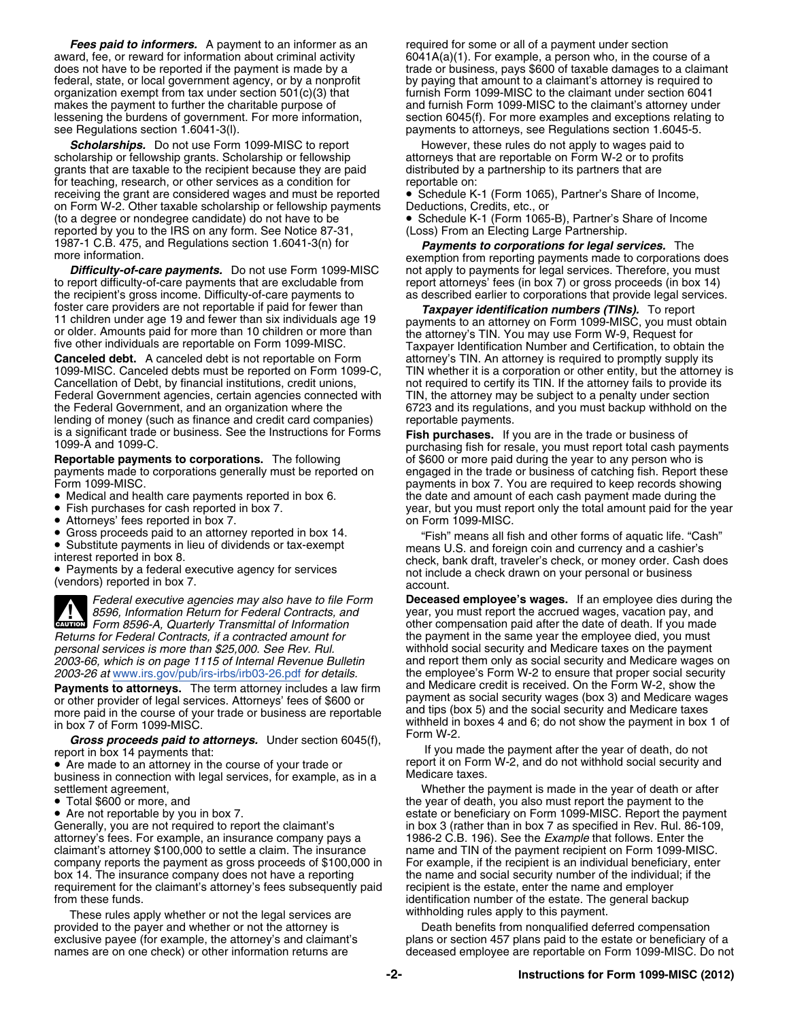**Fees paid to informers.** A payment to an informer as an required for some or all of a payment under section award, fee, or reward for information about criminal activity  $\qquad \qquad 6041A(a)(1)$ . For example, a person who, in the course of a<br>does not have to be reported if the payment is made by a strade or business, pays \$600 of taxa federal, state, or local government agency, or by a nonprofit by paying that amount to a claimant's attorney is required to organization exempt from tax under section 501(c)(3) that furnish Form 1099-MISC to the claimant under section 6041<br>makes the payment to further the charitable purpose of and furnish Form 1099-MISC to the claimant's attorn see Regulations section 1.6041-3(I). payments to attorneys, see Regulations section 1.6045-5.

**Scholarships.** Do not use Form 1099-MISC to report However, these rules do not apply to wages paid to identify to wages paid to identify a thorough the However, these rules do not apply to wages paid to identify reports b scholarship or fellowship grants. Scholarship or fellowship grants that are taxable to the recipient because they are paid distributed by a partnership to its partners that are for teaching, research, or other services as a condition for reportable on:<br>
receiving the grant are considered wages and must be reported • Schedule K-1 (Form 1065), Partner's Share of Income, receiving the grant are considered wages and must be reported on Form W-2. Other taxable scholarship or fellowship payments Deductions, Credits, etc., or<br>(to a degree or nondegree candidate) do not have to be **Combus 1986** Schedule K-1 (Form 1065) reported by you to the IRS on any form. See Notice 87-31, 1987-1 C.B. 475, and Regulations section 1.6041-3(n) for *Payments to corporations for legal services.* The

**Difficulty-of-care payments.** Do not use Form 1099-MISC not apply to payments for legal services. Therefore, you must to report difficulty-of-care payments that are excludable from report attorneys' fees (in box 7) or gro to report difficulty-of-care payments that are excludable from report attorneys' fees (in box 7) or gross proceeds (in box 14) the recipient's gross income. Difficulty-of-care payments to as described earlier to corporatio

**Canceled debt.** A canceled debt is not reportable on Form attorney's TIN. An attorney is required to promptly supply its 1099-MISC. Canceled debts must be reported on Form 1099-C, TIN whether it is a corporation or other Cancellation of Debt, by financial institutions, credit unions, not required to certify its TIN. If the attorney fails to provide its Federal Government agencies, certain agencies connected with TIN, the attorney may be subject to a penalty under section the Federal Government, and an organization where the 6723 and its regulations, and you must backup withhold on the lending of money (such as finance and credit card companies) reportable payments.<br>is a significant trade or business. See the Instructions for Forms  $\mathsf{Fish}$  purchases. If

**Reportable payments to corporations.** The following of \$600 or more paid during the year to any person who is payments made to corporations generally must be reported on engaged in the trade or business of catching fish.

- •
- Fish purchases for cash reported in box 7.
- $\bullet$  Attorneys' fees reported in box 7.  $\hfill$   $\qquad$  on Form 1099-MISC.
- •
- •

 $\frac{1}{2}$ 

**Payments to attorneys.** The term attorney includes a law firm and Medicare credit is received. On the Form W-2, show the<br>or other provider of legal services, Attorneys' fees of \$600 or payment as social security wages (bo or other provider of legal services. Attorneys' fees of \$600 or payment as social security wages (box 3) and Medicare wages (box 3) and Medicare taxes more paid in the course of your trade or business are reportable

business in connection with legal services, for example, as in a Medicare taxes.<br>settlement agreement,

- Total \$600 or more, and
- Are not reportable by you in box 7.

attorney's fees. For example, an insurance company pays a 1986-2 C.B. 196). See the *Example* that follows. Enter the claimant's attorney \$100,000 to settle a claim. The insurance name and TIN of the payment recipient on Form 1099-MISC.<br>
company reports the payment as gross proceeds of \$100,000 in For example, if the recipient is an indiv company reports the payment as gross proceeds of \$100,000 in box 14. The insurance company does not have a reporting the name and social security number of the individual; if the requirement for the claimant's attorney's fees subsequently paid recipient is the estate, enter the name and employer

These rules apply whether or not the legal services are provided to the payer and whether or not the attorney is Death benefits from nonqualified deferred compensation

trade or business, pays \$600 of taxable damages to a claimant and furnish Form 1099-MISC to the claimant's attorney under lessening the burdens of government. For more information, section 6045(f). For more examples and exceptions relating to

• Schedule K-1 (Form 1065-B), Partner's Share of Income (Loss) From an Electing Large Partnership.

re information.<br>**Difficulty-of-care payments.** Do not use Form 1099-MISC not apply to payments for legal services. Therefore, you must as described earlier to corporations that provide legal services.

foster care providers are not reportable if paid for fewer than **Taxpayer identification numbers (TINS)**. To report<br>11 children under age 19 and fewer than six individuals age 19 or older. Amounts paid for more than 10 chi TIN whether it is a corporation or other entity, but the attorney is

is a significant trade or business. See the Instructions for Forms **Fish purchases.** If you are in the trade or business of 1099-A and 1099-C.<br>1099-A and 1099-C. purchasing fish for resale, you must report total cash payme engaged in the trade or business of catching fish. Report these Form 1099-MISC. payments in box 7. You are required to keep records showing Medical and health care payments reported in box 6. the date and amount of each cash payment made during the year, but you must report only the total amount paid for the year

Gross proceeds paid to an attorney reported in box 14. "Fish" means all fish and other forms of aquatic life. "Cash"<br>Substitute payments in lieu of dividends or tax-exempt means U.S. and foreign coin and currency and a cas ■ Substitute payments in lieu of dividends or tax-exempt means U.S. and foreign coin and currency and a cashier's interest reported in box 8. check, bank draft, traveler's check, or money order. Cash does • check, bank dr Payments by a federal executive agency for services not include a check drawn on your personal or business (vendors) reported in box 7. account.

*Federal executive agencies may also have to file Form* **Deceased employee's wages.** If an employee dies during the year, you must report the accrued wages, vacation pay, and *Form 8596-A, Quarterly Transmittal of Information* other compensation paid after the date of death. If you made the payment in the same year the employee died, you must *personal services is more than \$25,000. See Rev. Rul.* withhold social security and Medicare taxes on the payment *2003-66, which is on page 1115 of Internal Revenue Bulletin* and report them only as social security and Medicare wages on 2003-26 at <u>[www.irs.gov/pub/irs-irbs/irb03-26.pdf](http://www.irs.gov/pub/irs-irbs/irb03-26.pdf)</u> for details. the employee's Form W-2 to ensure that proper social security<br>**Payments to attorneys.** The term attorney includes a law firm and Medicare credit is received. in box 7 of Form 1099-MISC.<br>
Form W-2<br>
Form W-2

**Gross proceeds paid to attorneys.** Under section 6045(f),<br>
If you made the payment after the year of death, do not<br>
■ if you made the payment after the year of death, do not<br>
■ if you made the payment after the year of d • Are made to an attorney in the course of your trade or report it on Form W-2, and do not withhold social security and

Whether the payment is made in the year of death or after the year of death, you also must report the payment to the • Are not reportable by you in box 7. estate or beneficiary on Form 1099-MISC. Report the payment<br>Generally, you are not required to report the claimant's entity in box 3 (rather than in box 7 as specified in Rev. Rul. 86in box 3 (rather than in box 7 as specified in Rev. Rul. 86-109, from these funds.<br>These rules apply whether or not the legal services are withholding rules apply to this payment.

exclusive payee (for example, the attorney's and claimant's plans or section 457 plans paid to the estate or beneficiary of a<br>names are on one check) or other information returns are deceased employee are reportable on For deceased employee are reportable on Form 1099-MISC. Do not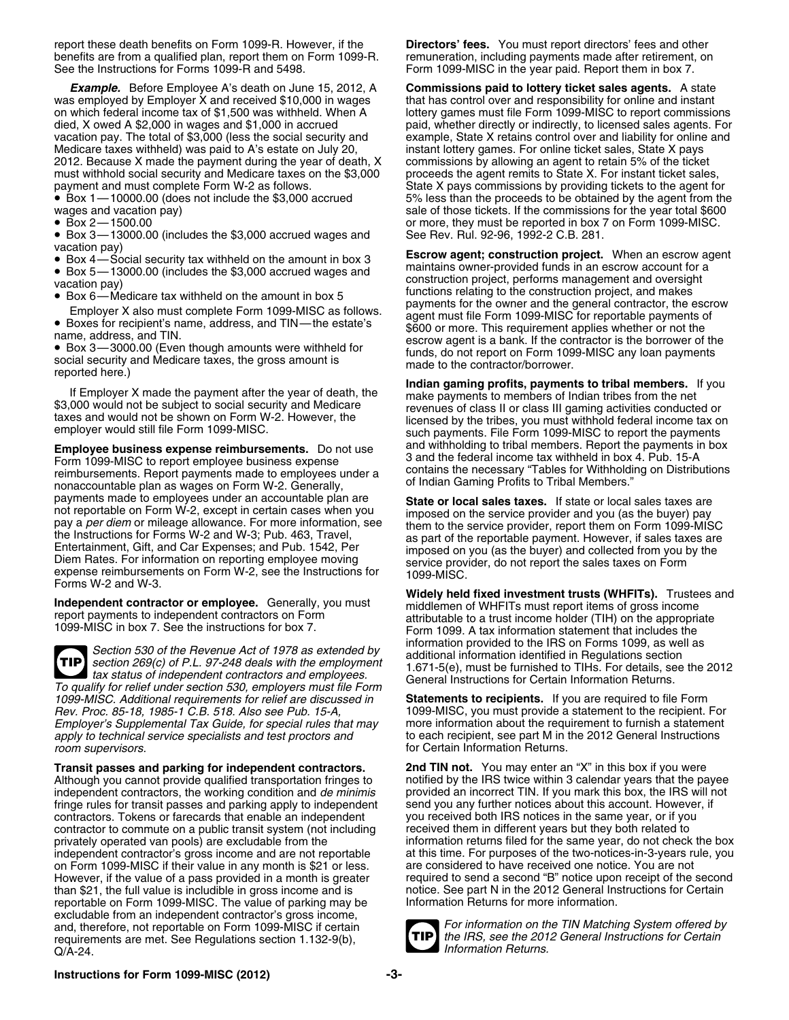report these death benefits on Form 1099-R. However, if the **Directors' fees.** You must report directors' fees and other benefits are from a qualified plan, report them on Form 1099-R. remuneration, including payments made after retirement, on See the Instructions for Forms 1099-R and 5498. Form 1099-MISC in the vear paid. Report them in box

*Example.* Before Employee A's death on June 15, 2012, A **Commissions paid to lottery ticket sales agents.** A state was employed by Employer X and received \$10,000 in wages on which federal income tax of \$1,500 was withheld. When A on which federal income tax of \$1,500 was withheld. When A lottery games must file Form 1099-MISC to report commissions died, X owed A \$2,000 in wages and \$1,000 in accrued paid, whether directly or indirectly, to licensed vacation pay. The total of \$3,000 (less the social security and example, State X retains control over and liability for online and<br>Medicare taxes withheld) was paid to A's estate on July 20, instant lottery games. For onli Medicare taxes withheld) was paid to A's estate on July 20, instant lottery games. For online ticket sales, State X pays<br>2012. Because X made the payment during the year of death, X commissions by allowing an agent to reta 2012. Because X made the payment during the year of death, X commissions by allowing an agent to retain 5% of the ticket must withhold social security and Medicare taxes on the \$3,000 payment and must complete Form W-2 as follows. State X pays commissions by providing tickets to the agent for

● Box 1 – 10000.00 (does not include the \$3,000 accrued

- 
- 
- Box 4—Social security tax withheld on the amount in box 3<br>• Box 5—13000.00 (includes the \$3,000 accrued wages and
- 
- 
- 

■ Box 3—3000.00 (Even though amounts were withheld for funds, do not report on Form 1099-MISC any loan payments social security and Medicare taxes, the gross amount is made to the contractor/borrower.<br>reported here.) **Ind** 

Form 1099-MISC to report employee business expense<br>reimbursements, Benort payments made to employees under a contains the necessary "Tables for Withholding on Distributions reimbursements. Report payments made to employees under a contains the necessary "Tables for Withhold<br>nonaccountable plan as wages on Form W-2. Generally, or Indian Gaming Profits to Tribal Members." payments made to employees under an accountable plan are **State or local sales taxes.** If state or local sales taxes are not reportable on Form W-2, except in certain cases when you<br>pay a per diention, see information, see them to the service provider and you (as the buyer) pay<br>them to the service provider report them on Form 1099-MIS pay a per diem or mileage allowance. For more information, see<br>them to the service provider, report them on Form 1099-MISC<br>the Instructions for Forms W-2 and W-3; Pub. 463, Travel,<br>Entertainment, Gift, and Car Expenses; an Forms W-2 and W-3.

**TIP** section 269(c) of P.L. 97-248 deals with the employment To qualify for relief under section 530, employers must file Form<br>1099-MISC. Additional requirements for relief are discussed in **Statements to recipients.** If you are required to file Form *Employer's Supplemental Tax Guide, for special rules that may* 

**Transit passes and parking for independent contractors. 2nd TIN not.** You may enter an "X" in this box if you were Although you cannot provide qualified transportation fringes to a notified by the IRS twice within 3 calendar years that the payee independent contractors, the working condition and *de minimis* provided an incorrect TIN. independent contractors, the working condition and *de minimis* provided an incorrect TIN. If you mark this box, the IRS will not finge rules for transit passes and parking apply to independent send you any further notices fringe rules for transit passes and parking apply to independent send you any further notices about this account. However, contractors, Tokens or farecards that enable an independent you received both IRS notices in the sa contractors. Tokens or farecards that enable an independent you received both IRS notices in the same year, or if you<br>contractor to commute on a public transit system (not including received them in different years but the contractor to commute on a public transit system (not including privately operated van pools) are excludable from the independent contractor's gross income and are not reportable However, if the value of a pass provided in a month is greater required to send a second "B" notice upon receipt of the second<br>than \$21, the full value is includible in gross income and is really notice. See part N in the than \$21, the full value is includible in gross income and is notice. See part N in the 2012 General Instruction<br>
reportable on Form 1099-MISC. The value of parking may be linformation Returns for more information. reportable on Form 1099-MISC. The value of parking may be excludable from an independent contractor's gross income, and, therefore, not reportable on Form 1099-MISC if certain *For information on the TIN Matching System offered by*<br>**FIP** the IRS, see the 2012 General Instructions for Certain requirements are met. See Regulations section 1.132-9(b), *Q*/A-24.

Form 1099-MISC in the year paid. Report them in box 7.

paid, whether directly or indirectly, to licensed sales agents. For Box 1—10000.00 (does not include the \$3,000 accrued 5% less than the proceeds to be obtained by the agent from the sale of those tickets. If the commissions for the year total \$600 • Box 2—1500.00 or more, they must be reported in box 7 on Form 1099-MISC. • Box 3—13000.00 (includes the \$3,000 accrued wages and See Rev. Rul. 92-96, 1992-2 C.B. 281.

vacation pay)<br>• Box 4—Social security tax withheld on the amount in box 3<br>• Box 5—13000.00 (includes the \$3,000 accrued wages and imaintains owner-provided funds in an escrow account for a Box 5—13000.00 (includes the \$3,000 accrued wages and construction project, performs management and oversight<br>
• Box 6—Medicare tax withheld on the amount in box 5<br>
• Box 6—Medicare tax withheld on the amount in box 5 ■ Employer X also must complete Form 1099-MISC as follows. This requirement and the general contractor, the escrow<br>
■ Employer X also must complete Form 1099-MISC as follows. This requirement applies whether or not the<br>
■ name, address, and TIN.<br>■ Box 3—3000.00 (Even though amounts were withheld for • funds, do not report on Form 1099-MISC any loan payments

If Employer X made the payment after the year of death, the<br>
\$3,000 would not be subject to social security and Medicare<br>
\$3,000 would not be subject to social security and Medicare<br>
taxes and would not be shown on Form W-**Employee business expense reimbursements.** Do not use and withholding to tribal members. Report the payments in box<br>Form 1099-MISC to report employee business expense 3 and the federal income tax withheld in box 4. Pub. 1

**Widely held fixed investment trusts (WHFITs).** Trustees and **Independent contractor or employee.** Generally, you must<br>report payments to independent contractors on Form<br>1099-MISC in box 7. See the instructions for box 7.<br>Form 1099. A tax information statement that includes the Section 530 of the Revenue Act of 1978 as extended by<br>section 269(c) of P.L. 97-248 deals with the employment<br>tax status of independent contractors and employees.<br>The employment of the furnished to TIHs. For details, see t

*1099-MISC. Additional requirements for relief are discussed in* **Statements to recipients.** If you are required to file Form *Rev. Proc. 85-18, 1985-1 C.B. 518. Also see Pub. 15-A,* 1099-MISC, you must provide a statement to the recipient. For apply to technical service specialists and test proctors and <sup>the s</sup>to each recipient, see part M in the 2012 General Instructions room supervisors. for Certain Information Returns.

information returns filed for the same year, do not check the box<br>at this time. For purposes of the two-notices-in-3-years rule, you on Form 1099-MISC if their value in any month is \$21 or less. are considered to have received one notice. You are not<br>However, if the value of a pass provided in a month is greater erequired to send a second "B" notice upo



**Information Returns.** 

## **Instructions for Form 1099-MISC (2012) -3-**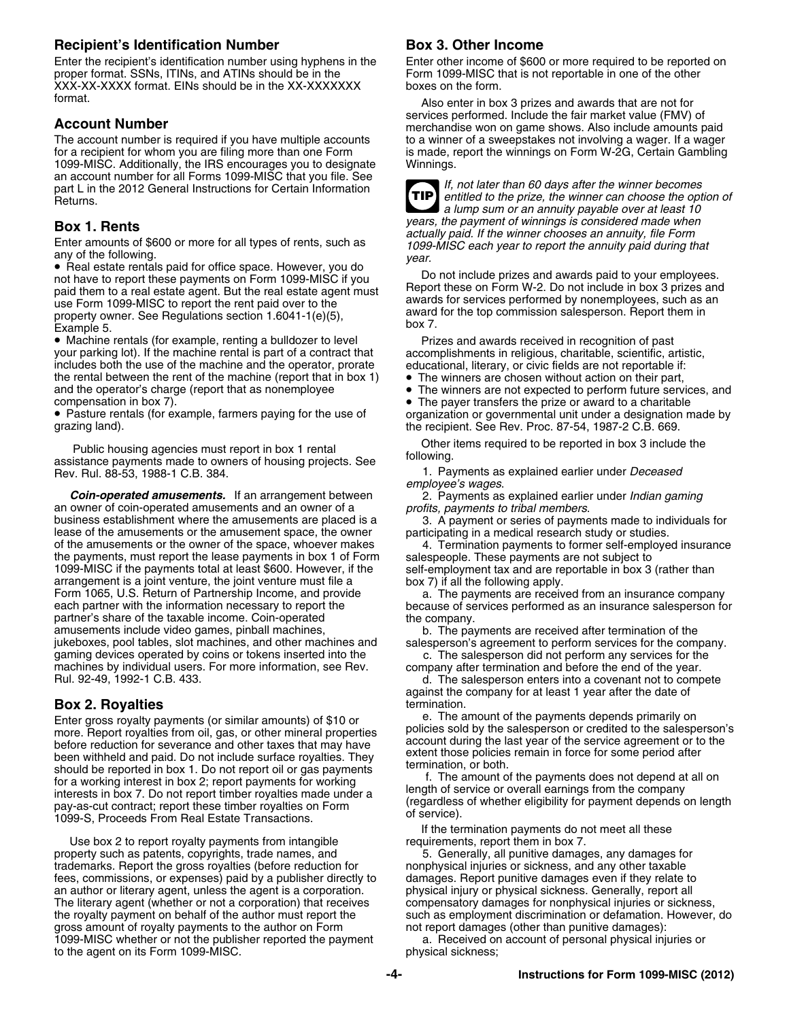## **Recipient's Identification Number <b>Box 3. Other Income**

Enter the recipient's identification number using hyphens in the Enter other income of \$600 or more required to be reported on proper format. SSNs, ITINs, and ATINs should be in the Form 1099-MISC that is not reportable in proper format. SSNs, ITINs, and ATINs should be in the XXX-XX-XXXX format. EINs should be in the XX-XXXXXXX boxes on the form.

The account number is required if you have multiple accounts for a recipient for whom you are filing more than one Form is made, report the winnings on Form W-2G, Certain Gambling<br>1099-MISC. Additionally, the IRS encourages you to designate Winnings. 1099-MISC. Additionally, the IRS encourages you to designate an account number for all Forms 1099-MISC that you file. See an account number for all Forms 1099-MISC that you file. See **If**, not later than 60 days after the winner becomes<br> **TIP** If, not later than 60 days after the winner becomes<br> **TIP** entitled to the prize, the winner can cho

• Real estate rentals paid for office space. However, you do<br>not have to report these payments on Form 1099-MISC if you<br>paid them to a real estate agent. But the real estate agent must<br>use Form 1099-MISC to report the rent

 $\bullet$  Machine rentals (for example, renting a bulldozer to level  $\qquad \qquad$  Prizes and awards received in recognition of past your parking lot). If the machine rental is part of a contract that accomplishments in religious, charitable, scientific, artistic, includes both the use of the machine and the operator, prorate educational, literary, or civic fields are not reportable if:<br>the rental between the rent of the machine (report that in box 1) • The winners are chosen withou the rental between the rent of the machine (report that in box 1) and the operator's charge (report that as nonemployee • The winners are not expected to perform future services, and<br>• The paver transfers the prize or award to a charitable

• Pasture rentals (for example, farmers paying for the use of

Public housing agencies must report in box 1 rental Cheritems required to be reported in box 3 include the assistance payments made to owners of housing projects. See following.<br>1. Payments as explained earlier under *Dece* 

**Coin-operated amusements.** If an arrangement between <sup>2. Payments as explained earlie owner of coin-operated amusements and an owner of a *profits, payments to tribal members*.</sup> an owner of coin-operated amusements and an owner of a business establishment where the amusements are placed is a 3. A payment or series of payments made to individuals for lease of the amusements or the amusement space, the owner participating in a medical research study or studies.<br>of the amusements or the owner of the space, whoever makes 4. Termination payments to former self-employed ins of the amusements or the owner of the space, whoever makes 4. Termination payments to former self-emplote the payments, must report the lease payments in box 1 of Form salespeople. These payments are not subject to the payments, must report the lease payments in box 1 of Form 1099-MISC if the payments total at least \$600. However, if the self-employment tax and are reportable in box 3 (rather than arrangement is a joint venture, the joint venture must file a box 7) if all the following apply. arrangement is a joint venture, the joint venture must file a Form 1065, U.S. Return of Partnership Income, and provide a. The payments are received from an insurance company<br>Form partner with the information necessary to report the because of services performed as an insurance sales partner's share of the taxable income. Coin-operated the company. amusements include video games, pinball machines, b. The payments are received after termination of the inkeboxes, pool tables, slot machines, and other machines and salesperson's agreement to perform services for the comp gaming devices operated by coins or tokens inserted into the c. The salesperson did not perform any services for the<br>machines by individual users. For more information, see Rev. company after termination and before the end machines by individual users. For more information, see Rev. company after termination and before the end of the year.<br>Rul. 92-49, 1992-1 C.B. 433. company after statesperson enters into a covenant not to comp

more. Report royalties from oil, gas, or other mineral properties policies sold by the salesperson or credited to the salesperson<br>before reduction for severance and other taxes that may have account during the last year of before reduction for severance and other taxes that may have<br>been withheld and paid. Do not include surface royalties. They<br>should be reported in box 1. Do not report oil or gas payments<br>for a working interest in box 2; re

Use box 2 to report royalty payments from intangible requirements, report them in box 7. property such as patents, copyrights, trade names, and 5. Generally, all punitive damages, any damages for trademarks. Report the gross royalties (before reduction for nonphysical injuries or sickness, and any other taxable<br>fees, commissions, or expenses) paid by a publisher directly to damages. Report punitive damages even if fees, commissions, or expenses) paid by a publisher directly to damages. Report punitive damages even if they relate to an author or literary agent, unless the agent is a corporation. physical injury or physical sickness. an author or literary agent, unless the agent is a corporation. The literary agent (whether or not a corporation) that receives compensatory damages for nonphysical injuries or sickness,<br>the royalty payment on behalf of the author must report the such as employment discrimination or de gross amount of royalty payments to the author on Form not report damages (other than punitive damages): 1099-MISC whether or not the publisher reported the payment a. Received on account of personal physical injuries or to the agent on its Form 1099-MISC.

format.<br>Also enter in box 3 prizes and awards that are not for<br>services performed. Include the fair market value (FMV) of **Account Number**<br>The account number is required if you have multiple accounts<br>The account number is required if you have multiple accounts<br>to a winner of a sweepstakes not involving a wager. If a wager

entitled to the prize, the winner can choose the option of *a lump sum or an annuity payable over at least 10* **TIP Box 1. Rents**<br>
Enter amounts of \$600 or more for all types of rents, such as<br>
any of the following.<br>
Real estate rentals paid for office space. However, you do<br>
and have to report the annuity paid during that<br>
the winner

• The payer transfers the prize or award to a charitable • Pasture rentals (for example, farmers paying for the use of organization or governmental unit under a designation made by grazing land).<br>
the recipient. See Rev. Proc. 87-54, 1987-2 C.B. 669. the recipient. See Rev. Proc. 87-54, 1987-2 C.B. 669.

1. Payments as explained earlier under *Deceased* 

*employee's wages*.

because of services performed as an insurance salesperson for

salesperson's agreement to perform services for the company.

d. The salesperson enters into a covenant not to compete against the company for at least 1 year after the date of

**Box 2. Royalties**<br>For the payments depends primarily on<br>For the payments depends primarily on Enter gross royalty payments (or similar amounts) of \$10 or enter the amount of the payments depends primarily on Enter gross royalties from oil gas, or other mineral properties policies sold by the salesperson or credited

If the termination payments do not meet all these

such as employment discrimination or defamation. However, do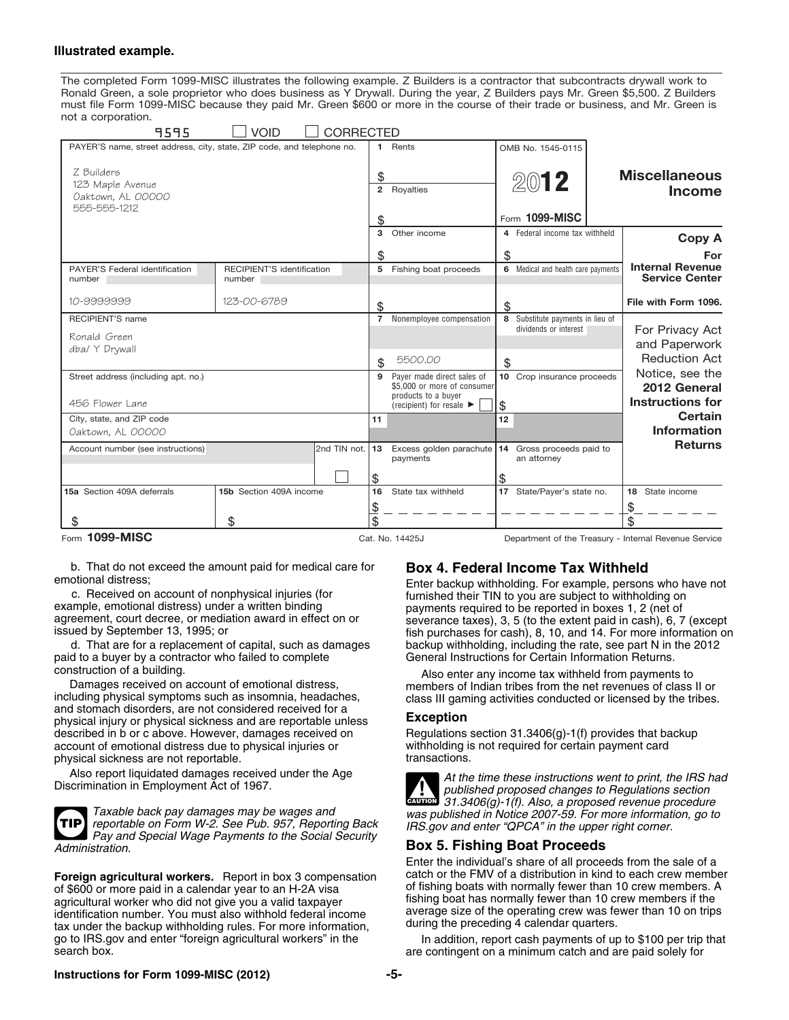### **Illustrated example.**

The completed Form 1099-MISC illustrates the following example. Z Builders is a contractor that subcontracts drywall work to Ronald Green, a sole proprietor who does business as Y Drywall. During the year, Z Builders pays Mr. Green \$5,500. Z Builders must file Form 1099-MISC because they paid Mr. Green \$600 or more in the course of their trade or business, and Mr. Green is not a corporation.

| 9595                                                                   | <b>VOID</b><br><b>CORRECTED</b>      |                           |                                                                                  |    |                                                           |                                                  |
|------------------------------------------------------------------------|--------------------------------------|---------------------------|----------------------------------------------------------------------------------|----|-----------------------------------------------------------|--------------------------------------------------|
| PAYER'S name, street address, city, state, ZIP code, and telephone no. |                                      | 1.                        | Rents                                                                            |    | OMB No. 1545-0115                                         |                                                  |
| Z Builders<br>123 Maple Avenue<br>Oaktown, AL 00000<br>555-555-1212    |                                      | \$<br>$\overline{2}$<br>S | Royalties                                                                        |    | 2012<br>Form 1099-MISC                                    | <b>Miscellaneous</b><br><b>Income</b>            |
|                                                                        |                                      | 3                         | Other income                                                                     |    | 4 Federal income tax withheld                             | <b>Copy A</b>                                    |
|                                                                        |                                      | \$                        |                                                                                  | \$ |                                                           | For                                              |
| PAYER'S Federal identification<br>number                               | RECIPIENT'S identification<br>number | 5                         | Fishing boat proceeds                                                            |    | 6 Medical and health care payments                        | <b>Internal Revenue</b><br><b>Service Center</b> |
| 10-9999999                                                             | 123-00-6789                          | \$                        |                                                                                  | \$ |                                                           | File with Form 1096.                             |
| <b>RECIPIENT'S name</b>                                                |                                      |                           | 7 Nonemployee compensation                                                       |    | 8 Substitute payments in lieu of<br>dividends or interest |                                                  |
| Ronald Green                                                           |                                      |                           |                                                                                  |    |                                                           | For Privacy Act<br>and Paperwork                 |
| dba/ Y Drywall                                                         |                                      | \$.                       | 5500.00                                                                          | \$ |                                                           | <b>Reduction Act</b>                             |
| Street address (including apt. no.)                                    |                                      | 9                         | Payer made direct sales of<br>\$5,000 or more of consumer<br>products to a buyer |    | 10 Crop insurance proceeds                                | Notice, see the<br>2012 General                  |
| 456 Flower Lane                                                        |                                      |                           | (recipient) for resale $\blacktriangleright$                                     | \$ |                                                           | <b>Instructions for</b>                          |
| City, state, and ZIP code<br>Oaktown, AL 00000                         |                                      | 11                        |                                                                                  | 12 |                                                           | Certain<br><b>Information</b>                    |
| Account number (see instructions)                                      | 2nd TIN not.                         | 13                        | Excess golden parachute<br>payments                                              |    | 14 Gross proceeds paid to<br>an attorney                  | <b>Returns</b>                                   |
|                                                                        |                                      | \$                        |                                                                                  | \$ |                                                           |                                                  |
| 15a Section 409A deferrals                                             | 15b Section 409A income              | 16                        | State tax withheld                                                               |    | 17 State/Payer's state no.                                | 18<br>State income                               |
|                                                                        |                                      | $\overline{\theta}$       |                                                                                  |    |                                                           |                                                  |
|                                                                        | \$                                   | \$                        |                                                                                  |    |                                                           | \$                                               |

Form **1099-MISC Cat. No. 14425J** Department of the Treasury - Internal Revenue Service

b. That do not exceed the amount paid for medical care for **Box 4. Federal Income Tax Withheld**

paid to a buyer by a contractor who failed to complete General Instructions for Certain Information Returns.

including physical symptoms such as insomnia, headaches, class III gaming activities conducted or licensed by the tribes.<br>and stomach disorders, are not considered received for a<br>**Exception**<br>**Exception** physical injury or physical sickness and are reportable unless **Exception**<br>described in b or c above. However, damages received on **Requilations section 31.3406(g)-1(f)** provides that backup described in b or c above. However, damages received on Fegulations section 31.3406(g)-1(f) provides that baccount of emotional distress due to physical injuries or withholding is not required for certain payment card account of emotional distress due to physical injuries or withholding is physical sickness are not reportable. physical sickness are not reportable.

Taxable back pay damages may be wages and was published in Notice 2007-59. For more information, go to<br>reportable on Form W-2. See Pub. 957, Reporting Back IRS gov and enter "QPCA" in the upper right corner.<br>Pay and Specia **TIP** *Administration.* **Box 5. Fishing Boat Proceeds**

**Foreign agricultural workers.** Report in box 3 compensation catch or the FMV of a distribution in kind to each crew members. A catendar year to an H-2A visa of fishing boats with normally fewer than 10 crew members. A of \$600 or more paid in a calendar year to an H-2A visa of fishing boats with normally fewer than 10 crew members. A<br>Agricultural worker who did not give you a valid taxpayer fishing boat has normally fewer than 10 crew me agricultural worker who did not give you a valid taxpayer<br>identification number. You must also withhold federal income<br>tax under the backup withholding rules. For more information during the preceding 4 calendar quarters. tax under the backup withholding rules. For more information, go to IRS.gov and enter "foreign agricultural workers" in the go to IRS.gov and enter "foreign agricultural workers" in the In addition, report cash payments of up to \$100 per trip that<br>search box. are contingent on a minimum catch and are paid solely for

otional distress;<br>c. Received on account of nonphysical injuries (for example, persons who have not furnished their TIN to you are subject to withholding on example, emotional distress) under a written binding<br>agreement, court decree, or mediation award in effect on or<br>issued by September 13, 1995; or<br>d. That are for a replacement of capital, such as damages<br>d. That are for a backup withholding, including the rate, see part N in the 2012

construction of a building.<br>Damages received on account of emotional distress,<br>including physical symptoms such as insomnia, headaches,<br>class III gaming activities conducted or licensed by the tribes



Also report liquidated damages received under the Age *At the time these instructions went to print, the IRS had* Discrimination in Employment Act of 1967. *published proposed changes to Regulations section* **CAUTION** *31.3406(g)-1(f). Also, a proposed revenue procedure*

Enter the individual's share of all proceeds from the sale of a

are contingent on a minimum catch and are paid solely for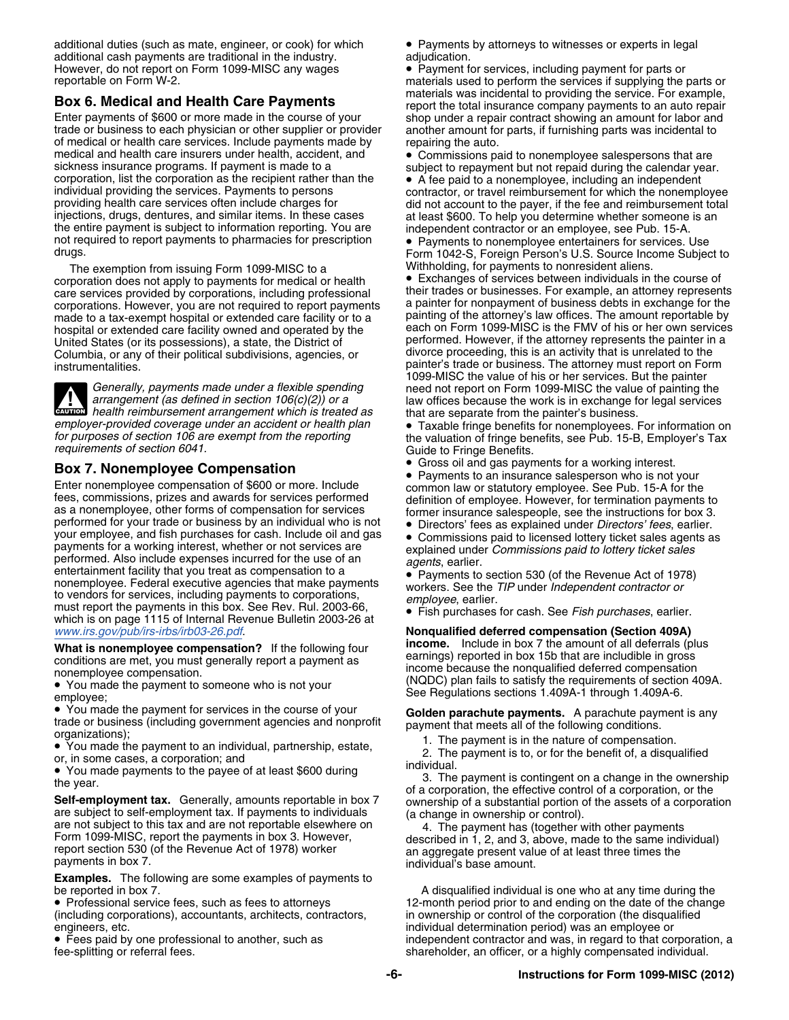additional duties (such as mate, engineer, or cook) for which • Payments by attorneys to witnesses or experts in legal additional cash payments are traditional in the industry. adjudication.<br>However, do not report on Form 1099-MISC any wages **at the Payment** for However, do not report on Form 1099-MISC any wages • Payment for services, including payment for parts or reportable on Form W-2.

of medical or health care services. Include payments made by repairing the auto.<br>medical and health care insurers under health, accident, and  $\bullet$  Commissions pay medical and health care insurers under health, accident, and  $\bullet$  Commissions paid to nonemployee salespersons that are sickness insurance programs. If payment is made to a sickness insurance programs. If payment is made to a subject to repayment but not repaid during the calendar year.<br>Corporation, list the corporation as the recipient rather than the  $\bullet$  A fee paid to a nonemployee, includ corporation, list the corporation as the recipient rather than the **CEP A** fee paid to a nonemployee, including an independent<br>
individual providing the services. Payments to persons<br>
providing health care services often i

The exemption from issuing Form 1099-MISC to a<br> **Withholding, for payments to payments for medical or health Company** Exchanges of services between individuals in the course of provident individuals in the course of corporation does not apply to payments for medical or health corporations. However, you are not required to report payments a painter for nonpayment of business debts in exchange for the<br>made to a tax-exempt bospital or extended care facility or to a painting of the attorney's law o made to a tax-exempt hospital or extended care facility or to a hospital or extended care facility owned and operated by the United States (or its possessions), a state, the District of performed. However, if the attorney represents the painter in a columbia, or any of their political subdivisions, agencies, or divorce proceeding, this is an act Columbia, or any of their political subdivisions, agencies, or instrumentalities.

**health reimbursement (as defined in section 106(c)(2)) or a law offices because the work is in exchange from the painter's business.** 

Enter nonemployee compensation of \$600 or more. Include common law or statutory employee. See Pub. 15-A for the fees, commissions, prizes and awards for services performed<br>as a nonemployee, other forms of compensation for your employee, and fish purchases for cash. Include oil and gas **• Commissions** paid to licensed lottery ticket sales agents as payments for a working interest, whether or not services are<br>
performed. Also include expenses incurred for the use of an<br>
entertainment facility that you treat as compensation to a<br>
entertainment facility that you treat a nonemployee. Federal executive agencies that make payments workers. See the TIP under Independent contractor or<br>to vendors for services, including payments to corporations,<br>must report the payments in this box. See Rev. Ru which is on page 1115 of Internal Revenue Bulletin 2003-26 at *www.irs.gov/pub/irs-irbs/irb03-26.pdf.* 

- You made the payment to someone who is not your See Regulations sections 1.409A-1 through 1.409A-6. employee:
- You made the payment for services in the course of your • You made the payment for services in the course of your<br>trade or business (including government agencies and nonprofit<br>organizations);<br>• You made the payment to an individual, partnership, estate,<br>• You made the payment
- 

• You made payments to the payee of at least \$600 during<br>the year.<br>
Self-employment tax. Generally, amounts reportable in box 7<br>
are subject to self-employment tax. If payments to individuals<br>
are not subject to this tax a

**Examples.** The following are some examples of payments to be reported in box 7. The reported in box 7.

• Professional service fees, such as fees to attorneys (including corporations), accountants, architects, contractors, engineers, etc. individual determination period) was an employee or

• Fees paid by one professional to another, such as

materials used to perform the services if supplying the parts or **Box 6. Medical and Health Care Payments**<br>
Enter payments of \$600 or more made in the course of your<br>
trade or business to each physician or other supplier or provider<br>
trade or business to each physician or other supplier another amount for parts, if furnishing parts was incidental to

care services provided by corporations, including professional their trades or businesses. For example, an attorney represents<br>corporations. However, you are not required to report payments a painter for nonpayment of busi panting care facility of the FMV of his or her own services painter's trade or business. The attorney must report on Form 1099-MISC the value of his or her services. But the painter Generally, payments made under a flexible spending need not report on Form 1099-MISC the value of painting the arrangement (as defined in section 106(c)(2)) or a law offices because the work is in exchange for legal servi

employer-provided coverage under an accident or health plan <br>for purposes of section 106 are exempt from the reporting the valuation of fringe benefits, see Pub. 15-B, Employer's Tax<br>requirements of section 6041.<br>Guide to

• Gross oil and gas payments for a working interest.

Gross on and gas payments for a working interest.<br>**Box 7. Nonemployee Compensation**<br>**Box 7. Nonemployee Compensation** 

*Wonqualified deferred compensation (Section 409A)* **What is nonemployee compensation?** If the following four<br>conditions are met, you must generally report a payment as<br>nonemployee compensation.<br>• You made the payment to someone who is not your<br>(NQDC) plan fails to satisfy

• You made the payment to an individual, partnership, estate,<br>
or, in some cases, a corporation; and<br>
• You made payments to the payee of at least \$600 during<br>
the vector individual.<br>
• Some payment is contingent on a cha

12-month period prior to and ending on the date of the change<br>in ownership or control of the corporation (the disqualified ● Fees paid by one professional to another, such as independent contractor and was, in regard to that corporation, a<br>
fee-splitting or referral fees. and the stareholder, an officer, or a highly compensated individual. shareholder, an officer, or a highly compensated individual.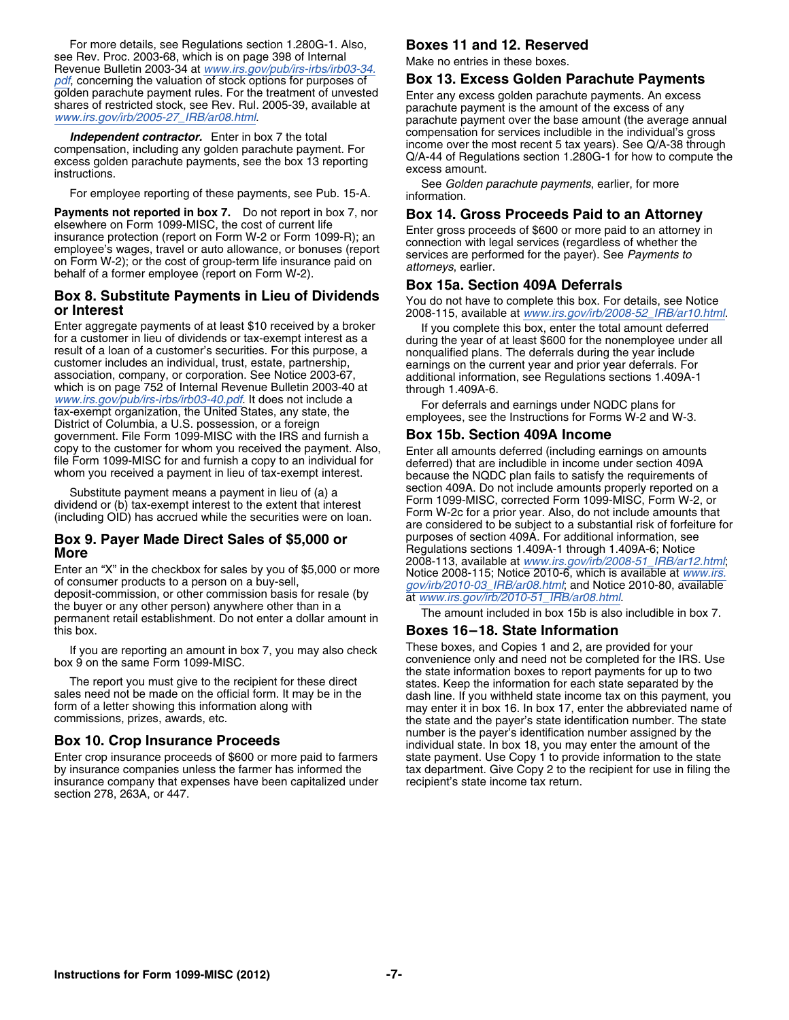For more details, see Regulations section 1.280G-1. Also, **Boxes 11 and 12. Reserved** see Rev. Proc. 2003-68, which is on page 398 of Internal Make no entries in these boxes.<br>Revenue Bulletin 2003-34 at *[www.irs.gov/pub/irs-irbs/irb03-34.](http://www.irs.gov/pub/irs-irbs/irb03-34.pdf)* [pdf](http://www.irs.gov/pub/irs-irbs/irb03-34.pdf), concerning the valuation of stock options for purposes of **Box 13. Excess Golden Parachute Payments** 

**Payments not reported in box 7.** Do not report in box 7, nor<br>elsewhere on Form 1099-MISC, the cost of current life<br>insurance protection (report on Form W-2 or Form 1099-R); an<br>employee's wages, travel or auto allowance, o

## **Box 8. Substitute Payments in Lieu of Dividends** You do not have to complete this box. For details, see Notice **or Interest** 2008-115, available at *[www.irs.gov/irb/2008-52\\_IRB/ar10.html](http://www.irs.gov/irb/2008-52_IRB/ar10.html).*

Enter aggregate payments of at least \$10 received by a broker<br>
for a customer in lieu of dividends or tax-exempt interest as a<br>
result of a loan of a customer's securities. For this purpose, a<br>
customer includes an individ District of Columbia, a U.S. possession, or a foreign<br>government. File Form 1099-MISC with the IRS and furnish a **Box 15b. Section 409A Income**<br>copy to the customer for whom you received the payment. Also, Forter all amoun copy to the customer for whom you received the payment. Also,<br>file Form 1099-MISC for and furnish a copy to an individual for<br>whom you received a payment in lieu of tax-exempt interest.<br>whom you received a payment in lieu

## **Box 9. Payer Made Direct Sales of \$5,000 or**

Enter an "X" in the checkbox for sales by you of \$5,000 or more<br>
of consumer products to a person on a buy-sell,<br>
deposit-commission, or other commission basis for resale (by<br>
the buyer or any other person) anywhere other this box. **Boxes 16–18. State Information**

Enter crop insurance proceeds of \$600 or more paid to farmers state payment. Use Copy 1 to provide information to the state by insurance companies unless the farmer has informed the tax department. Give Copy 2 to the recipient for use in filing the insurance company that expenses have been capitalized under recipient's state income tax return. insurance company that expenses have been capitalized under section 278, 263A, or 447.

golden parachute payment rules. For the treatment of unvested<br>shares of restricted stock, see Rev. Rul. 2005-39, available at parachute payment is the amount of the excess of any<br>[www.irs.gov/irb/2005-27\\_IRB/ar08.html](http://www.irs.gov/irb/2005-27_IRB/ar08.html).<br>www. **Independent contractor.** Enter in box 7 the total compensation for services includible in the individual's gross<br>compensation, including any golden parachute payment. For<br>excess golden parachute payments, see the box 13 r

See *Golden parachute payments*, earlier, for more For employee reporting of these payments, see Pub. 15-A. information.

### **Box 15a. Section 409A Deferrals**

Substitute payment means a payment in lieu of (a) a<br>dividend or (b) tax-exempt interest to the extent that interest<br>(including OID) has accrued while the securities were on loan.<br>**EXECUTE:** Form 1099-MISC, corrected Form 1 **More** Regulations sections 1.409A-1 through 1.409A-6; Notice<br>More<br>Figure 1.1008-113, available at www.irs.gov/irb/2008-51\_IRB/ar12.html;

If you are reporting an amount in box 7, you may also check These boxes, and Copies 1 and 2, are provided for your box 9 on the same Form 1099-MISC.<br>
Let the state information boxes to report payments for up to two the state information boxes to report payments for up to two The report you must give to the recipient for these direct sales. Keep the information for each state separated by the sales need not be made on the official form. It may be in the dash line. If you withheld state income t number is the payer's identification number assigned by the **Box 10. Crop Insurance Proceeds** individual state. In box 18, you may enter the amount of the